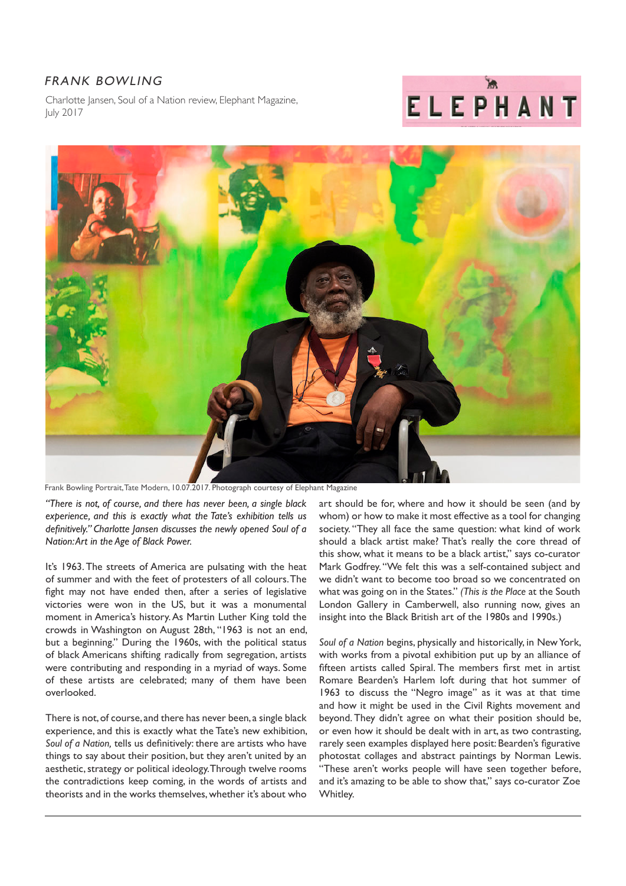## FRANK BOWLING

Charlotte Jansen, Soul of a Nation review, Elephant Magazine, July 2017





Frank Bowling Portrait, Tate Modern, 10.07.2017. Photograph courtesy of Elephant Magazine

*"There is not, of course, and there has never been, a single black experience, and this is exactly what the Tate's exhibition tells us definitively." Charlotte Jansen discusses the newly opened Soul of a Nation: Art in the Age of Black Power.*

It's 1963. The streets of America are pulsating with the heat of summer and with the feet of protesters of all colours. The fight may not have ended then, after a series of legislative victories were won in the US, but it was a monumental moment in America's history. As Martin Luther King told the crowds in Washington on August 28th, "1963 is not an end, but a beginning." During the 1960s, with the political status of black Americans shifting radically from segregation, artists were contributing and responding in a myriad of ways. Some of these artists are celebrated; many of them have been overlooked.

There is not, of course, and there has never been, a single black experience, and this is exactly what the Tate's new exhibition, *Soul of a Nation,* tells us definitively: there are artists who have things to say about their position, but they aren't united by an aesthetic, strategy or political ideology. Through twelve rooms the contradictions keep coming, in the words of artists and theorists and in the works themselves, whether it's about who

art should be for, where and how it should be seen (and by whom) or how to make it most effective as a tool for changing society. "They all face the same question: what kind of work should a black artist make? That's really the core thread of this show, what it means to be a black artist," says co-curator Mark Godfrey. "We felt this was a self-contained subject and we didn't want to become too broad so we concentrated on what was going on in the States." *(This is the Place* at the South London Gallery in Camberwell, also running now, gives an insight into the Black British art of the 1980s and 1990s.)

*Soul of a Nation* begins, physically and historically, in New York, with works from a pivotal exhibition put up by an alliance of fifteen artists called Spiral. The members first met in artist Romare Bearden's Harlem loft during that hot summer of 1963 to discuss the "Negro image" as it was at that time and how it might be used in the Civil Rights movement and beyond. They didn't agree on what their position should be, or even how it should be dealt with in art, as two contrasting, rarely seen examples displayed here posit: Bearden's figurative photostat collages and abstract paintings by Norman Lewis. "These aren't works people will have seen together before, and it's amazing to be able to show that," says co-curator Zoe Whitley.